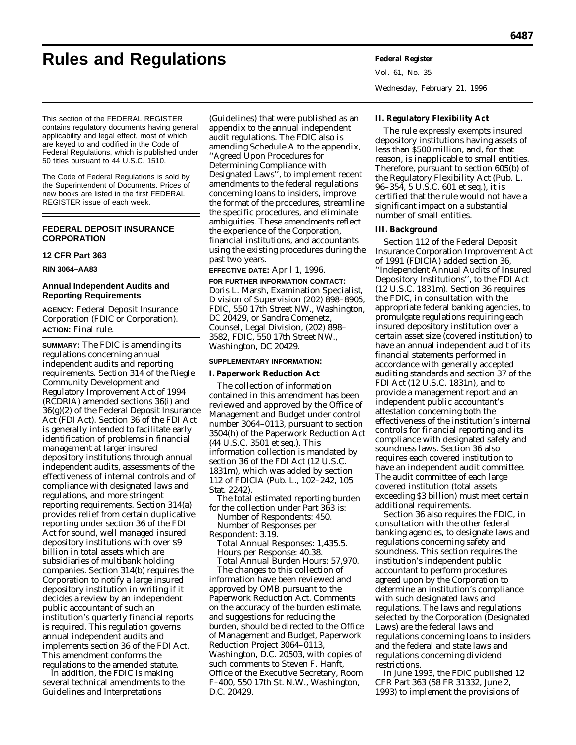# **Rules and Regulations Federal Register**

Vol. 61, No. 35 Wednesday, February 21, 1996

This section of the FEDERAL REGISTER contains regulatory documents having general applicability and legal effect, most of which are keyed to and codified in the Code of Federal Regulations, which is published under 50 titles pursuant to 44 U.S.C. 1510.

The Code of Federal Regulations is sold by the Superintendent of Documents. Prices of new books are listed in the first FEDERAL REGISTER issue of each week.

# **FEDERAL DEPOSIT INSURANCE CORPORATION**

# **12 CFR Part 363**

**RIN 3064–AA83**

# **Annual Independent Audits and Reporting Requirements**

**AGENCY:** Federal Deposit Insurance Corporation (FDIC or Corporation). **ACTION:** Final rule.

**SUMMARY:** The FDIC is amending its regulations concerning annual independent audits and reporting requirements. Section 314 of the Riegle Community Development and Regulatory Improvement Act of 1994 (RCDRIA) amended sections 36(i) and 36(g)(2) of the Federal Deposit Insurance Act (FDI Act). Section 36 of the FDI Act is generally intended to facilitate early identification of problems in financial management at larger insured depository institutions through annual independent audits, assessments of the effectiveness of internal controls and of compliance with designated laws and regulations, and more stringent reporting requirements. Section 314(a) provides relief from certain duplicative reporting under section 36 of the FDI Act for sound, well managed insured depository institutions with over \$9 billion in total assets which are subsidiaries of multibank holding companies. Section 314(b) requires the Corporation to notify a large insured depository institution in writing if it decides a review by an independent public accountant of such an institution's quarterly financial reports is required. This regulation governs annual independent audits and implements section 36 of the FDI Act. This amendment conforms the regulations to the amended statute.

In addition, the FDIC is making several technical amendments to the Guidelines and Interpretations

(Guidelines) that were published as an appendix to the annual independent audit regulations. The FDIC also is amending Schedule A to the appendix, ''Agreed Upon Procedures for Determining Compliance with Designated Laws'', to implement recent amendments to the federal regulations concerning loans to insiders, improve the format of the procedures, streamline the specific procedures, and eliminate ambiguities. These amendments reflect the experience of the Corporation, financial institutions, and accountants using the existing procedures during the past two years.

#### **EFFECTIVE DATE:** April 1, 1996.

**FOR FURTHER INFORMATION CONTACT:** Doris L. Marsh, Examination Specialist, Division of Supervision (202) 898–8905, FDIC, 550 17th Street NW., Washington, DC 20429, or Sandra Comenetz, Counsel, Legal Division, (202) 898– 3582, FDIC, 550 17th Street NW., Washington, DC 20429.

#### **SUPPLEMENTARY INFORMATION:**

#### **I. Paperwork Reduction Act**

The collection of information contained in this amendment has been reviewed and approved by the Office of Management and Budget under control number 3064–0113, pursuant to section 3504(h) of the Paperwork Reduction Act (44 U.S.C. 3501 *et seq.*). This information collection is mandated by section 36 of the FDI Act (12 U.S.C. 1831m), which was added by section 112 of FDICIA (Pub. L., 102–242, 105 Stat. 2242).

The total estimated reporting burden for the collection under Part 363 is: *Number of Respondents:* 450. *Number of Responses per Respondent:* 3.19.

*Total Annual Responses:* 1,435.5. *Hours per Response:* 40.38. *Total Annual Burden Hours:* 57,970.

The changes to this collection of information have been reviewed and approved by OMB pursuant to the Paperwork Reduction Act. Comments on the accuracy of the burden estimate, and suggestions for reducing the burden, should be directed to the Office of Management and Budget, Paperwork Reduction Project 3064–0113, Washington, D.C. 20503, with copies of such comments to Steven F. Hanft, Office of the Executive Secretary, Room F–400, 550 17th St. N.W., Washington, D.C. 20429.

**II. Regulatory Flexibility Act**

The rule expressly exempts insured depository institutions having assets of less than \$500 million, and, for that reason, is inapplicable to small entities. Therefore, pursuant to section 605(b) of the Regulatory Flexibility Act (Pub. L. 96–354, 5 U.S.C. 601 *et seq.*), it is certified that the rule would not have a significant impact on a substantial number of small entities.

#### **III. Background**

Section 112 of the Federal Deposit Insurance Corporation Improvement Act of 1991 (FDICIA) added section 36, ''Independent Annual Audits of Insured Depository Institutions'', to the FDI Act (12 U.S.C. 1831m). Section 36 requires the FDIC, in consultation with the appropriate federal banking agencies, to promulgate regulations requiring each insured depository institution over a certain asset size (covered institution) to have an annual independent audit of its financial statements performed in accordance with generally accepted auditing standards and section 37 of the FDI Act (12 U.S.C. 1831n), and to provide a management report and an independent public accountant's attestation concerning both the effectiveness of the institution's internal controls for financial reporting and its compliance with designated safety and soundness laws. Section 36 also requires each covered institution to have an independent audit committee. The audit committee of each large covered institution (total assets exceeding \$3 billion) must meet certain additional requirements.

Section 36 also requires the FDIC, in consultation with the other federal banking agencies, to designate laws and regulations concerning safety and soundness. This section requires the institution's independent public accountant to perform procedures agreed upon by the Corporation to determine an institution's compliance with such designated laws and regulations. The laws and regulations selected by the Corporation (Designated Laws) are the federal laws and regulations concerning loans to insiders and the federal and state laws and regulations concerning dividend restrictions.

In June 1993, the FDIC published 12 CFR Part 363 (58 FR 31332, June 2, 1993) to implement the provisions of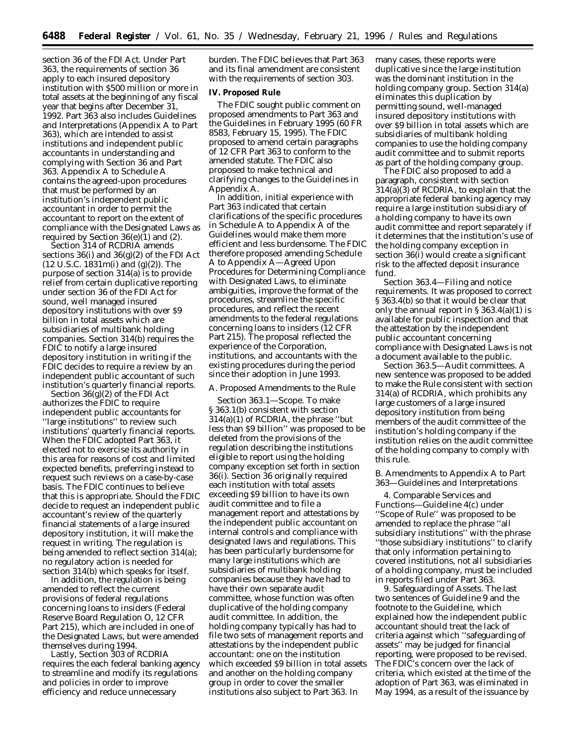section 36 of the FDI Act. Under Part 363, the requirements of section 36 apply to each insured depository institution with \$500 million or more in total assets at the beginning of any fiscal year that begins after December 31, 1992. Part 363 also includes Guidelines and Interpretations (Appendix A to Part 363), which are intended to assist institutions and independent public accountants in understanding and complying with Section 36 and Part 363. Appendix A to Schedule A contains the agreed-upon procedures that must be performed by an institution's independent public accountant in order to permit the accountant to report on the extent of compliance with the Designated Laws as required by Section  $36(e)(1)$  and  $(2)$ .

Section 314 of RCDRIA amends sections  $36(i)$  and  $36(g)(2)$  of the FDI Act  $(12 \text{ U.S.C. } 1831 \text{m(i) and } (g)(2))$ . The purpose of section 314(a) is to provide relief from certain duplicative reporting under section 36 of the FDI Act for sound, well managed insured depository institutions with over \$9 billion in total assets which are subsidiaries of multibank holding companies. Section 314(b) requires the FDIC to notify a large insured depository institution in writing if the FDIC decides to require a review by an independent public accountant of such institution's quarterly financial reports.

Section 36(g)(2) of the FDI Act authorizes the FDIC to require independent public accountants for ''large institutions'' to review such institutions' quarterly financial reports. When the FDIC adopted Part 363, it elected not to exercise its authority in this area for reasons of cost and limited expected benefits, preferring instead to request such reviews on a case-by-case basis. The FDIC continues to believe that this is appropriate. Should the FDIC decide to request an independent public accountant's review of the quarterly financial statements of a large insured depository institution, it will make the request in writing. The regulation is being amended to reflect section 314(a); no regulatory action is needed for section 314(b) which speaks for itself.

In addition, the regulation is being amended to reflect the current provisions of federal regulations concerning loans to insiders (Federal Reserve Board Regulation O, 12 CFR Part 215), which are included in one of the Designated Laws, but were amended themselves during 1994.

Lastly, Section 303 of RCDRIA requires the each federal banking agency to streamline and modify its regulations and policies in order to improve efficiency and reduce unnecessary

burden. The FDIC believes that Part 363 and its final amendment are consistent with the requirements of section 303.

#### **IV. Proposed Rule**

The FDIC sought public comment on proposed amendments to Part 363 and the Guidelines in February 1995 (60 FR 8583, February 15, 1995). The FDIC proposed to amend certain paragraphs of 12 CFR Part 363 to conform to the amended statute. The FDIC also proposed to make technical and clarifying changes to the Guidelines in Appendix A.

In addition, initial experience with Part 363 indicated that certain clarifications of the specific procedures in Schedule A to Appendix A of the Guidelines would make them more efficient and less burdensome. The FDIC therefore proposed amending Schedule A to Appendix A—Agreed Upon Procedures for Determining Compliance with Designated Laws, to eliminate ambiguities, improve the format of the procedures, streamline the specific procedures, and reflect the recent amendments to the federal regulations concerning loans to insiders (12 CFR Part 215). The proposal reflected the experience of the Corporation, institutions, and accountants with the existing procedures during the period since their adoption in June 1993.

#### *A. Proposed Amendments to the Rule*

Section 363.1—Scope. To make § 363.1(b) consistent with section 314(a)(1) of RCDRIA, the phrase ''but less than \$9 billion'' was proposed to be deleted from the provisions of the regulation describing the institutions eligible to report using the holding company exception set forth in section 36(i). Section 36 originally required each institution with total assets exceeding \$9 billion to have its own audit committee and to file a management report and attestations by the independent public accountant on internal controls and compliance with designated laws and regulations. This has been particularly burdensome for many large institutions which are subsidiaries of multibank holding companies because they have had to have their own separate audit committee, whose function was often duplicative of the holding company audit committee. In addition, the holding company typically has had to file two sets of management reports and attestations by the independent public accountant: one on the institution which exceeded \$9 billion in total assets and another on the holding company group in order to cover the smaller institutions also subject to Part 363. In

many cases, these reports were duplicative since the large institution was the dominant institution in the holding company group. Section 314(a) eliminates this duplication by permitting sound, well-managed insured depository institutions with over \$9 billion in total assets which are subsidiaries of multibank holding companies to use the holding company audit committee and to submit reports as part of the holding company group.

The FDIC also proposed to add a paragraph, consistent with section 314(a)(3) of RCDRIA, to explain that the appropriate federal banking agency may require a large institution subsidiary of a holding company to have its own audit committee and report separately if it determines that the institution's use of the holding company exception in section 36(i) would create a significant risk to the affected deposit insurance fund.

Section 363.4—Filing and notice requirements. It was proposed to correct § 363.4(b) so that it would be clear that only the annual report in  $\S 363.4(a)(1)$  is available for public inspection and that the attestation by the independent public accountant concerning compliance with Designated Laws is not a document available to the public.

Section 363.5—Audit committees. A new sentence was proposed to be added to make the Rule consistent with section 314(a) of RCDRIA, which prohibits any large customers of a large insured depository institution from being members of the audit committee of the institution's holding company if the institution relies on the audit committee of the holding company to comply with this rule.

#### *B. Amendments to Appendix A to Part 363—Guidelines and Interpretations*

4. Comparable Services and Functions—Guideline 4(c) under ''Scope of Rule'' was proposed to be amended to replace the phrase ''all subsidiary institutions'' with the phrase ''those subsidiary institutions'' to clarify that only information pertaining to covered institutions, not all subsidiaries of a holding company, must be included in reports filed under Part 363.

9. Safeguarding of Assets. The last two sentences of Guideline 9 and the footnote to the Guideline, which explained how the independent public accountant should treat the lack of criteria against which ''safeguarding of assets'' may be judged for financial reporting, were proposed to be revised. The FDIC's concern over the lack of criteria, which existed at the time of the adoption of Part 363, was eliminated in May 1994, as a result of the issuance by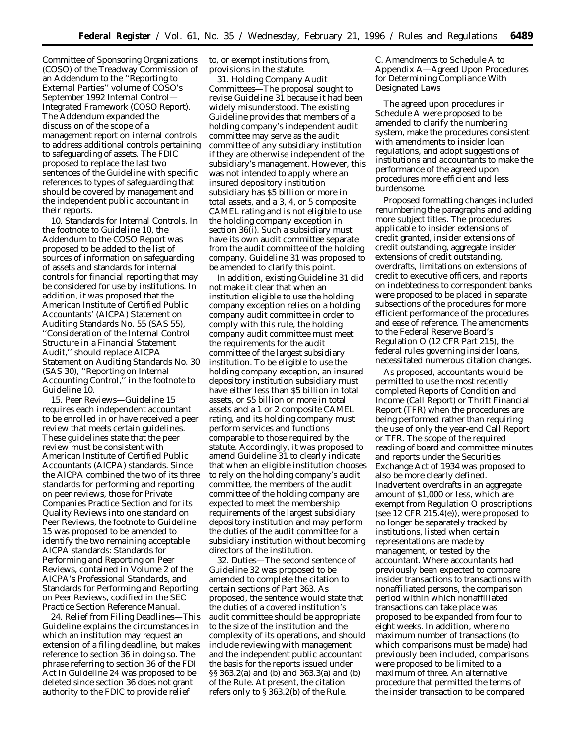Committee of Sponsoring Organizations (COSO) of the Treadway Commission of an Addendum to the ''*Reporting to External Parties*'' volume of COSO's September 1992 *Internal Control— Integrated Framework* (COSO Report). The Addendum expanded the discussion of the scope of a management report on internal controls to address additional controls pertaining to safeguarding of assets. The FDIC proposed to replace the last two sentences of the Guideline with specific references to types of safeguarding that should be covered by management and the independent public accountant in their reports.

10. Standards for Internal Controls. In the footnote to Guideline 10, the Addendum to the COSO Report was proposed to be added to the list of sources of information on safeguarding of assets and standards for internal controls for financial reporting that may be considered for use by institutions. In addition, it was proposed that the American Institute of Certified Public Accountants' (AICPA) Statement on Auditing Standards No. 55 (SAS 55), ''Consideration of the Internal Control Structure in a Financial Statement Audit,'' should replace AICPA Statement on Auditing Standards No. 30 (SAS 30), ''Reporting on Internal Accounting Control,'' in the footnote to Guideline 10.

15. Peer Reviews—Guideline 15 requires each independent accountant to be enrolled in or have received a peer review that meets certain guidelines. These guidelines state that the peer review must be consistent with American Institute of Certified Public Accountants (AICPA) standards. Since the AICPA combined the two of its three standards for performing and reporting on peer reviews, those for Private Companies Practice Section and for its Quality Reviews into one standard on Peer Reviews, the footnote to Guideline 15 was proposed to be amended to identify the two remaining acceptable AICPA standards: Standards for Performing and Reporting on Peer Reviews, contained in Volume 2 of the AICPA's *Professional Standards,* and Standards for Performing and Reporting on Peer Reviews, codified in the *SEC Practice Section Reference Manual.*

24. Relief from Filing Deadlines—This Guideline explains the circumstances in which an institution may request an extension of a filing deadline, but makes reference to section 36 in doing so. The phrase referring to section 36 of the FDI Act in Guideline 24 was proposed to be deleted since section 36 does not grant authority to the FDIC to provide relief

to, or exempt institutions from, provisions in the statute.

31. Holding Company Audit Committees—The proposal sought to revise Guideline 31 because it had been widely misunderstood. The existing Guideline provides that members of a holding company's independent audit committee may serve as the audit committee of *any* subsidiary institution if they are otherwise independent of the subsidiary's management. However, this was not intended to apply where an insured depository institution subsidiary has \$5 billion or more in total assets, and a 3, 4, or 5 composite CAMEL rating and is not eligible to use the holding company exception in section 36(i). Such a subsidiary must have its own audit committee separate from the audit committee of the holding company. Guideline 31 was proposed to be amended to clarify this point.

In addition, existing Guideline 31 did not make it clear that when an institution eligible to use the holding company exception relies on a holding company audit committee in order to comply with this rule, the holding company audit committee must meet the requirements for the audit committee of the largest subsidiary institution. To be eligible to use the holding company exception, an insured depository institution subsidiary must have either less than \$5 billion in total assets, or \$5 billion or more in total assets and a 1 or 2 composite CAMEL rating, and its holding company must perform services and functions comparable to those required by the statute. Accordingly, it was proposed to amend Guideline 31 to clearly indicate that when an eligible institution chooses to rely on the holding company's audit committee, the members of the audit committee of the holding company are expected to meet the membership requirements of the largest subsidiary depository institution and may perform the duties of the audit committee for a subsidiary institution without becoming directors of the institution.

32. Duties—The second sentence of Guideline 32 was proposed to be amended to complete the citation to certain sections of Part 363. As proposed, the sentence would state that the duties of a covered institution's audit committee should be appropriate to the size of the institution and the complexity of its operations, and should include reviewing with management and the independent public accountant the basis for the reports issued under §§ 363.2(a) and (b) and 363.3(a) and (b) of the Rule. At present, the citation refers only to § 363.2(b) of the Rule.

# *C. Amendments to Schedule A to Appendix A—Agreed Upon Procedures for Determining Compliance With Designated Laws*

The agreed upon procedures in Schedule A were proposed to be amended to clarify the numbering system, make the procedures consistent with amendments to insider loan regulations, and adopt suggestions of institutions and accountants to make the performance of the agreed upon procedures more efficient and less burdensome.

Proposed formatting changes included renumbering the paragraphs and adding more subject titles. The procedures applicable to insider extensions of credit granted, insider extensions of credit outstanding, aggregate insider extensions of credit outstanding, overdrafts, limitations on extensions of credit to executive officers, and reports on indebtedness to correspondent banks were proposed to be placed in separate subsections of the procedures for more efficient performance of the procedures and ease of reference. The amendments to the Federal Reserve Board's Regulation O (12 CFR Part 215), the federal rules governing insider loans, necessitated numerous citation changes.

As proposed, accountants would be permitted to use the most recently completed Reports of Condition and Income (Call Report) or Thrift Financial Report (TFR) when the procedures are being performed rather than requiring the use of only the year-end Call Report or TFR. The scope of the required reading of board and committee minutes and reports under the Securities Exchange Act of 1934 was proposed to also be more clearly defined. Inadvertent overdrafts in an aggregate amount of \$1,000 or less, which are exempt from Regulation O proscriptions (see 12 CFR 215.4(e)), were proposed to no longer be separately tracked by institutions, listed when certain representations are made by management, or tested by the accountant. Where accountants had previously been expected to compare insider transactions to transactions with nonaffiliated persons, the comparison period within which nonaffiliated transactions can take place was proposed to be expanded from four to eight weeks. In addition, where no maximum number of transactions (to which comparisons must be made) had previously been included, comparisons were proposed to be limited to a maximum of three. An alternative procedure that permitted the terms of the insider transaction to be compared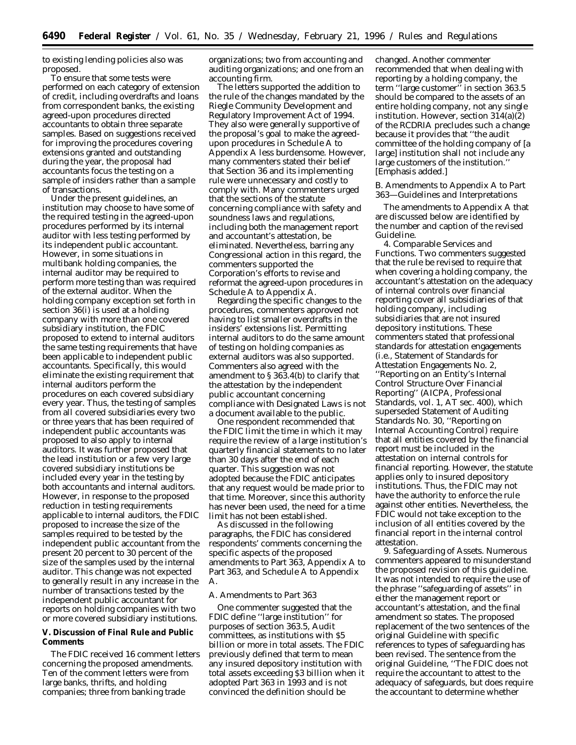to existing lending policies also was proposed.

To ensure that some tests were performed on each category of extension of credit, including overdrafts and loans from correspondent banks, the existing agreed-upon procedures directed accountants to obtain three separate samples. Based on suggestions received for improving the procedures covering extensions granted and outstanding during the year, the proposal had accountants focus the testing on a sample of insiders rather than a sample of transactions.

Under the present guidelines, an institution may choose to have some of the required testing in the agreed-upon procedures performed by its internal auditor with less testing performed by its independent public accountant. However, in some situations in multibank holding companies, the internal auditor may be required to perform more testing than was required of the external auditor. When the holding company exception set forth in section 36(i) is used at a holding company with more than one covered subsidiary institution, the FDIC proposed to extend to internal auditors the same testing requirements that have been applicable to independent public accountants. Specifically, this would eliminate the existing requirement that internal auditors perform the procedures on each covered subsidiary every year. Thus, the testing of samples from all covered subsidiaries every two or three years that has been required of independent public accountants was proposed to also apply to internal auditors. It was further proposed that the lead institution or a few very large covered subsidiary institutions be included every year in the testing by both accountants and internal auditors. However, in response to the proposed reduction in testing requirements applicable to internal auditors, the FDIC proposed to increase the size of the samples required to be tested by the independent public accountant from the present 20 percent to 30 percent of the size of the samples used by the internal auditor. This change was not expected to generally result in any increase in the number of transactions tested by the independent public accountant for reports on holding companies with two or more covered subsidiary institutions.

**V. Discussion of Final Rule and Public Comments**

The FDIC received 16 comment letters concerning the proposed amendments. Ten of the comment letters were from large banks, thrifts, and holding companies; three from banking trade

organizations; two from accounting and auditing organizations; and one from an accounting firm.

The letters supported the addition to the rule of the changes mandated by the Riegle Community Development and Regulatory Improvement Act of 1994. They also were generally supportive of the proposal's goal to make the agreedupon procedures in Schedule A to Appendix A less burdensome. However, many commenters stated their belief that Section 36 and its implementing rule were unnecessary and costly to comply with. Many commenters urged that the sections of the statute concerning compliance with safety and soundness laws and regulations, including both the management report and accountant's attestation, be eliminated. Nevertheless, barring any Congressional action in this regard, the commenters supported the Corporation's efforts to revise and reformat the agreed-upon procedures in Schedule A to Appendix A.

Regarding the specific changes to the procedures, commenters approved not having to list smaller overdrafts in the insiders' extensions list. Permitting internal auditors to do the same amount of testing on holding companies as external auditors was also supported. Commenters also agreed with the amendment to § 363.4(b) to clarify that the attestation by the independent public accountant concerning compliance with Designated Laws is not a document available to the public.

One respondent recommended that the FDIC limit the time in which it may require the review of a large institution's quarterly financial statements to no later than 30 days after the end of each quarter. This suggestion was not adopted because the FDIC anticipates that any request would be made prior to that time. Moreover, since this authority has never been used, the need for a time limit has not been established.

As discussed in the following paragraphs, the FDIC has considered respondents' comments concerning the specific aspects of the proposed amendments to Part 363, Appendix A to Part 363, and Schedule A to Appendix A.

#### *A. Amendments to Part 363*

One commenter suggested that the FDIC define ''large institution'' for purposes of section 363.5, Audit committees, as institutions with \$5 billion or more in total assets. The FDIC previously defined that term to mean any insured depository institution with total assets exceeding \$3 billion when it adopted Part 363 in 1993 and is not convinced the definition should be

changed. Another commenter recommended that when dealing with reporting by a holding company, the term ''large customer'' in section 363.5 should be compared to the assets of an entire holding company, not any single institution. However, section 314(a)(2) of the RCDRIA precludes such a change because it provides that ''the audit committee of the holding company of [a large] institution shall not include any large customers of the *institution*.'' [Emphasis added.]

# *B. Amendments to Appendix A to Part 363—Guidelines and Interpretations*

The amendments to Appendix A that are discussed below are identified by the number and caption of the revised Guideline.

4. *Comparable Services and Functions.* Two commenters suggested that the rule be revised to require that when covering a holding company, the accountant's attestation on the adequacy of internal controls over financial reporting cover all subsidiaries of that holding company, including subsidiaries that are not insured depository institutions. These commenters stated that professional standards for attestation engagements (i.e., Statement of Standards for Attestation Engagements No. 2, ''Reporting on an Entity's Internal Control Structure Over Financial Reporting'' (AICPA, Professional Standards, vol. 1, AT sec. 400), which superseded Statement of Auditing Standards No. 30, ''Reporting on Internal Accounting Control) require that all entities covered by the financial report must be included in the attestation on internal controls for financial reporting. However, the statute applies only to insured depository institutions. Thus, the FDIC may not have the authority to enforce the rule against other entities. Nevertheless, the FDIC would not take exception to the inclusion of all entities covered by the financial report in the internal control attestation.

9. *Safeguarding of Assets.* Numerous commenters appeared to misunderstand the proposed revision of this guideline. It was not intended to require the use of the phrase ''safeguarding of assets'' in either the management report or accountant's attestation, and the final amendment so states. The proposed replacement of the two sentences of the original Guideline with specific references to types of safeguarding has been revised. The sentence from the original Guideline, ''The FDIC does not require the accountant to attest to the adequacy of safeguards, but does require the accountant to determine whether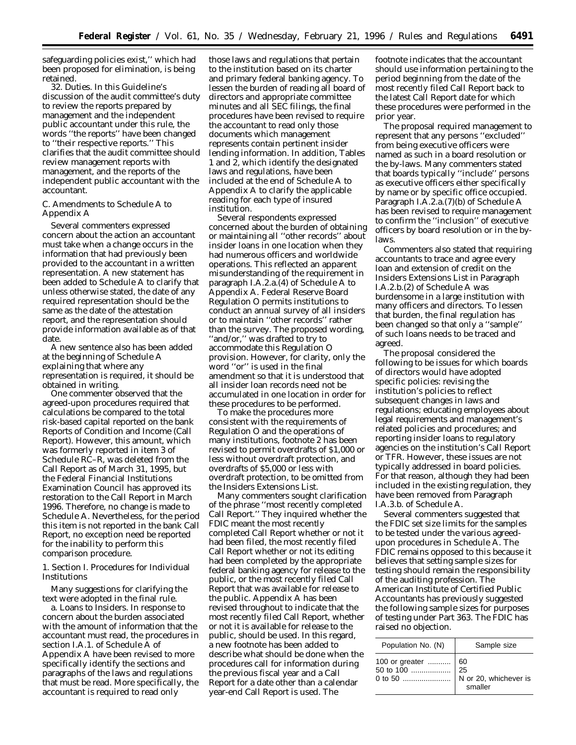safeguarding policies exist,'' which had been proposed for elimination, is being retained.

32. Duties. In this Guideline's discussion of the audit committee's duty to review the reports prepared by management and the independent public accountant under this rule, the words ''the reports'' have been changed to ''their respective reports.'' This clarifies that the audit committee should review management reports with management, and the reports of the independent public accountant with the accountant.

#### *C. Amendments to Schedule A to Appendix A*

Several commenters expressed concern about the action an accountant must take when a change occurs in the information that had previously been provided to the accountant in a written representation. A new statement has been added to Schedule A to clarify that unless otherwise stated, the date of any required representation should be the same as the date of the attestation report, and the representation should provide information available as of that date.

A new sentence also has been added at the beginning of Schedule A explaining that where any representation is required, it should be obtained in writing.

One commenter observed that the agreed-upon procedures required that calculations be compared to the total risk-based capital reported on the bank Reports of Condition and Income (Call Report). However, this amount, which was formerly reported in item 3 of Schedule RC–R, was deleted from the Call Report as of March 31, 1995, but the Federal Financial Institutions Examination Council has approved its restoration to the Call Report in March 1996. Therefore, no change is made to Schedule A. Nevertheless, for the period this item is not reported in the bank Call Report, no exception need be reported for the inability to perform this comparison procedure.

1. Section I. Procedures for Individual Institutions

Many suggestions for clarifying the text were adopted in the final rule.

a. Loans to Insiders. In response to concern about the burden associated with the amount of information that the accountant must read, the procedures in section I.A.1. of Schedule A of Appendix A have been revised to more specifically identify the sections and paragraphs of the laws and regulations that must be read. More specifically, the accountant is required to read only

those laws and regulations that pertain to the institution based on its charter and primary federal banking agency. To lessen the burden of reading all board of directors and appropriate committee minutes and all SEC filings, the final procedures have been revised to require the accountant to read only those documents which management represents contain pertinent insider lending information. In addition, Tables 1 and 2, which identify the designated laws and regulations, have been included at the end of Schedule A to Appendix A to clarify the applicable reading for each type of insured institution.

Several respondents expressed concerned about the burden of obtaining or maintaining all ''other records'' about insider loans in one location when they had numerous officers and worldwide operations. This reflected an apparent misunderstanding of the requirement in paragraph I.A.2.a.(4) of Schedule A to Appendix A. Federal Reserve Board Regulation O permits institutions to conduct an annual survey of all insiders *or* to maintain ''other records'' rather than the survey. The proposed wording, ''and/or,'' was drafted to try to accommodate this Regulation O provision. However, for clarity, only the word ''or'' is used in the final amendment so that it is understood that all insider loan records need not be accumulated in one location in order for these procedures to be performed.

To make the procedures more consistent with the requirements of Regulation O and the operations of many institutions, footnote 2 has been revised to permit overdrafts of \$1,000 or less without overdraft protection, and overdrafts of \$5,000 or less with overdraft protection, to be omitted from the Insiders Extensions List.

Many commenters sought clarification of the phrase ''most recently completed Call Report.'' They inquired whether the FDIC meant the most recently completed Call Report whether or not it had been filed, the most recently filed Call Report whether or not its editing had been completed by the appropriate federal banking agency for release to the public, or the most recently filed Call Report that was available for release to the public. Appendix A has been revised throughout to indicate that the most recently filed Call Report, whether or not it is available for release to the public, should be used. In this regard, a new footnote has been added to describe what should be done when the procedures call for information during the previous fiscal year and a Call Report for a date other than a calendar year-end Call Report is used. The

footnote indicates that the accountant should use information pertaining to the period beginning from the date of the most recently filed Call Report back to the latest Call Report date for which these procedures were performed in the prior year.

The proposal required management to represent that any persons ''excluded'' from being executive officers were named as such in a board resolution or the by-laws. Many commenters stated that boards typically ''include'' persons as executive officers either specifically by name or by specific office occupied. Paragraph I.A.2.a.(7)(b) of Schedule A has been revised to require management to confirm the ''inclusion'' of executive officers by board resolution or in the bylaws.

Commenters also stated that requiring accountants to trace and agree every loan and extension of credit on the Insiders Extensions List in Paragraph I.A.2.b.(2) of Schedule A was burdensome in a large institution with many officers and directors. To lessen that burden, the final regulation has been changed so that only a ''sample'' of such loans needs to be traced and agreed.

The proposal considered the following to be issues for which boards of directors would have adopted specific policies: revising the institution's policies to reflect subsequent changes in laws and regulations; educating employees about legal requirements and management's related policies and procedures; and reporting insider loans to regulatory agencies on the institution's Call Report or TFR. However, these issues are not typically addressed in board policies. For that reason, although they had been included in the existing regulation, they have been removed from Paragraph I.A.3.b. of Schedule A.

Several commenters suggested that the FDIC set size limits for the samples to be tested under the various agreedupon procedures in Schedule A. The FDIC remains opposed to this because it believes that setting sample sizes for testing should remain the responsibility of the auditing profession. The American Institute of Certified Public Accountants has previously suggested the following sample sizes for purposes of testing under Part 363. The FDIC has raised no objection.

| Population No. (N) | Sample size |
|--------------------|-------------|
|                    | smaller     |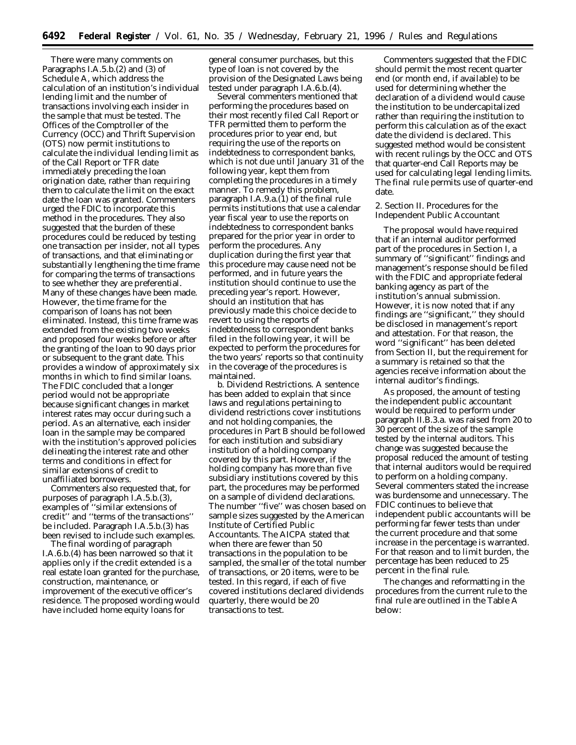There were many comments on Paragraphs I.A.5.b.(2) and (3) of Schedule A, which address the calculation of an institution's individual lending limit and the number of transactions involving each insider in the sample that must be tested. The Offices of the Comptroller of the Currency (OCC) and Thrift Supervision (OTS) now permit institutions to calculate the individual lending limit as of the Call Report or TFR date immediately preceding the loan origination date, rather than requiring them to calculate the limit on the exact date the loan was granted. Commenters urged the FDIC to incorporate this method in the procedures. They also suggested that the burden of these procedures could be reduced by testing one transaction per insider, not all types of transactions, and that eliminating or substantially lengthening the time frame for comparing the terms of transactions to see whether they are preferential. Many of these changes have been made. However, the time frame for the comparison of loans has not been eliminated. Instead, this time frame was extended from the existing two weeks and proposed four weeks before or after the granting of the loan to 90 days prior or subsequent to the grant date. This provides a window of approximately six months in which to find similar loans. The FDIC concluded that a longer period would not be appropriate because significant changes in market interest rates may occur during such a period. As an alternative, each insider loan in the sample may be compared with the institution's approved policies delineating the interest rate and other terms and conditions in effect for similar extensions of credit to unaffiliated borrowers.

Commenters also requested that, for purposes of paragraph I.A.5.b.(3), examples of ''similar extensions of credit'' and ''terms of the transactions'' be included. Paragraph I.A.5.b.(3) has been revised to include such examples.

The final wording of paragraph I.A.6.b.(4) has been narrowed so that it applies only if the credit extended is a real estate loan granted for the purchase, construction, maintenance, or improvement of the executive officer's residence. The proposed wording would have included home equity loans for

general consumer purchases, but this type of loan is not covered by the provision of the Designated Laws being tested under paragraph I.A.6.b.(4).

Several commenters mentioned that performing the procedures based on their most recently filed Call Report or TFR permitted them to perform the procedures prior to year end, but requiring the use of the reports on indebtedness to correspondent banks, which is not due until January 31 of the following year, kept them from completing the procedures in a timely manner. To remedy this problem, paragraph I.A.9.a.(1) of the final rule permits institutions that use a calendar year fiscal year to use the reports on indebtedness to correspondent banks prepared for the prior year in order to perform the procedures. Any duplication during the first year that this procedure may cause need not be performed, and in future years the institution should continue to use the preceding year's report. However, should an institution that has previously made this choice decide to revert to using the reports of indebtedness to correspondent banks filed in the following year, it will be expected to perform the procedures for the two years' reports so that continuity in the coverage of the procedures is maintained.

b. Dividend Restrictions. A sentence has been added to explain that since laws and regulations pertaining to dividend restrictions cover institutions and not holding companies, the procedures in Part B should be followed for each institution and subsidiary institution of a holding company covered by this part. However, if the holding company has more than five subsidiary institutions covered by this part, the procedures may be performed on a sample of dividend declarations. The number ''five'' was chosen based on sample sizes suggested by the American Institute of Certified Public Accountants. The AICPA stated that when there are fewer than 50 transactions in the population to be sampled, the smaller of the total number of transactions, or 20 items, were to be tested. In this regard, if each of five covered institutions declared dividends quarterly, there would be 20 transactions to test.

Commenters suggested that the FDIC should permit the most recent quarter end (or month end, if available) to be used for determining whether the declaration of a dividend would cause the institution to be undercapitalized rather than requiring the institution to perform this calculation as of the exact date the dividend is declared. This suggested method would be consistent with recent rulings by the OCC and OTS that quarter-end Call Reports may be used for calculating legal lending limits. The final rule permits use of quarter-end date.

2. Section II. Procedures for the Independent Public Accountant

The proposal would have required that if an internal auditor performed part of the procedures in Section I, a summary of ''significant'' findings and management's response should be filed with the FDIC and appropriate federal banking agency as part of the institution's annual submission. However, it is now noted that if any findings are ''significant,'' they should be disclosed in management's report and attestation. For that reason, the word ''significant'' has been deleted from Section II, but the requirement for a summary is retained so that the agencies receive information about the internal auditor's findings.

As proposed, the amount of testing the independent public accountant would be required to perform under paragraph II.B.3.a. was raised from 20 to 30 percent of the size of the sample tested by the internal auditors. This change was suggested because the proposal reduced the amount of testing that internal auditors would be required to perform on a holding company. Several commenters stated the increase was burdensome and unnecessary. The FDIC continues to believe that independent public accountants will be performing far fewer tests than under the current procedure and that some increase in the percentage is warranted. For that reason and to limit burden, the percentage has been reduced to 25 percent in the final rule.

The changes and reformatting in the procedures from the current rule to the final rule are outlined in the Table A below: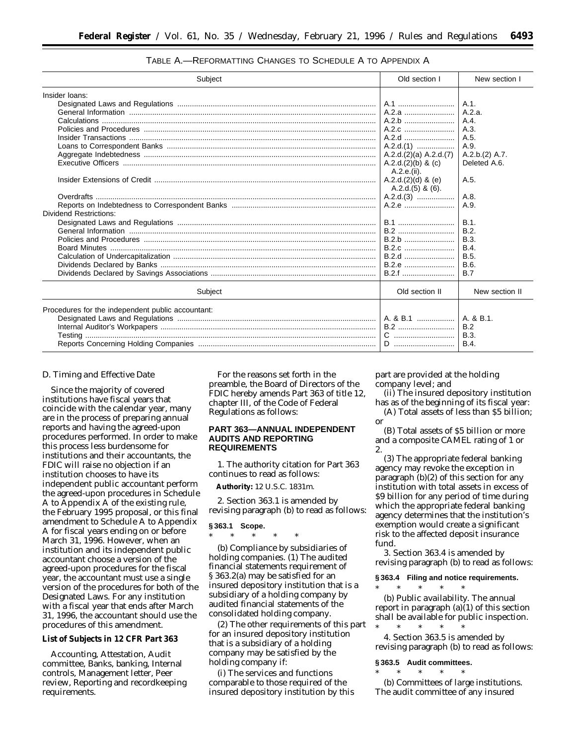| $A.1$ .<br>A.1<br>A.2.a<br>A.2.a.<br>A.2.b<br>A.4.<br>A.2.c<br>A.3.<br>A.5.<br>$A.2.d.(1)$<br>A.9.<br>A.2.d.(2)(a) A.2.d.(7)<br>A.2.b.(2) A.7.<br>A.2.d.(2)(b) & (c)<br>Deleted A.6.<br>A.2.e.(ii).<br>A.2.d.(2)(d) & (e)<br>A.5.<br>$A.2.d.(5)$ & $(6)$ .<br>A.8.<br>$A.2.d.(3)$<br>A.2.e<br>A.9.<br><b>B.1</b><br>B.1<br><b>B.2</b><br>B.2.<br>B.2.b<br><b>B.3.</b><br>B.2.c<br>B.4<br>B.2.d<br><b>B.5.</b><br>B.2.e<br>B.6.<br>B.2.f<br><b>B.7</b><br>Old section II<br>New section II<br>Subject<br>Procedures for the independent public accountant:<br>A. & B.1<br>A. & B.1.<br><b>B.2</b><br>B.2<br><b>B.3.</b><br><b>B.4</b> | Subject                       | Old section I | New section I |
|--------------------------------------------------------------------------------------------------------------------------------------------------------------------------------------------------------------------------------------------------------------------------------------------------------------------------------------------------------------------------------------------------------------------------------------------------------------------------------------------------------------------------------------------------------------------------------------------------------------------------------------|-------------------------------|---------------|---------------|
|                                                                                                                                                                                                                                                                                                                                                                                                                                                                                                                                                                                                                                      | Insider loans:                |               |               |
|                                                                                                                                                                                                                                                                                                                                                                                                                                                                                                                                                                                                                                      |                               |               |               |
|                                                                                                                                                                                                                                                                                                                                                                                                                                                                                                                                                                                                                                      |                               |               |               |
|                                                                                                                                                                                                                                                                                                                                                                                                                                                                                                                                                                                                                                      |                               |               |               |
|                                                                                                                                                                                                                                                                                                                                                                                                                                                                                                                                                                                                                                      |                               |               |               |
|                                                                                                                                                                                                                                                                                                                                                                                                                                                                                                                                                                                                                                      |                               |               |               |
|                                                                                                                                                                                                                                                                                                                                                                                                                                                                                                                                                                                                                                      |                               |               |               |
|                                                                                                                                                                                                                                                                                                                                                                                                                                                                                                                                                                                                                                      |                               |               |               |
|                                                                                                                                                                                                                                                                                                                                                                                                                                                                                                                                                                                                                                      |                               |               |               |
|                                                                                                                                                                                                                                                                                                                                                                                                                                                                                                                                                                                                                                      |                               |               |               |
|                                                                                                                                                                                                                                                                                                                                                                                                                                                                                                                                                                                                                                      |                               |               |               |
|                                                                                                                                                                                                                                                                                                                                                                                                                                                                                                                                                                                                                                      |                               |               |               |
|                                                                                                                                                                                                                                                                                                                                                                                                                                                                                                                                                                                                                                      |                               |               |               |
|                                                                                                                                                                                                                                                                                                                                                                                                                                                                                                                                                                                                                                      |                               |               |               |
|                                                                                                                                                                                                                                                                                                                                                                                                                                                                                                                                                                                                                                      | <b>Dividend Restrictions:</b> |               |               |
|                                                                                                                                                                                                                                                                                                                                                                                                                                                                                                                                                                                                                                      |                               |               |               |
|                                                                                                                                                                                                                                                                                                                                                                                                                                                                                                                                                                                                                                      |                               |               |               |
|                                                                                                                                                                                                                                                                                                                                                                                                                                                                                                                                                                                                                                      |                               |               |               |
|                                                                                                                                                                                                                                                                                                                                                                                                                                                                                                                                                                                                                                      |                               |               |               |
|                                                                                                                                                                                                                                                                                                                                                                                                                                                                                                                                                                                                                                      |                               |               |               |
|                                                                                                                                                                                                                                                                                                                                                                                                                                                                                                                                                                                                                                      |                               |               |               |
|                                                                                                                                                                                                                                                                                                                                                                                                                                                                                                                                                                                                                                      |                               |               |               |
|                                                                                                                                                                                                                                                                                                                                                                                                                                                                                                                                                                                                                                      |                               |               |               |
|                                                                                                                                                                                                                                                                                                                                                                                                                                                                                                                                                                                                                                      |                               |               |               |
|                                                                                                                                                                                                                                                                                                                                                                                                                                                                                                                                                                                                                                      |                               |               |               |
|                                                                                                                                                                                                                                                                                                                                                                                                                                                                                                                                                                                                                                      |                               |               |               |
|                                                                                                                                                                                                                                                                                                                                                                                                                                                                                                                                                                                                                                      |                               |               |               |
|                                                                                                                                                                                                                                                                                                                                                                                                                                                                                                                                                                                                                                      |                               |               |               |

# TABLE A.—REFORMATTING CHANGES TO SCHEDULE A TO APPENDIX A

#### *D. Timing and Effective Date*

Since the majority of covered institutions have fiscal years that coincide with the calendar year, many are in the process of preparing annual reports and having the agreed-upon procedures performed. In order to make this process less burdensome for institutions and their accountants, the FDIC will raise no objection if an institution chooses to have its independent public accountant perform the agreed-upon procedures in Schedule A to Appendix A of the existing rule, the February 1995 proposal, or this final amendment to Schedule A to Appendix A for fiscal years ending on or before March 31, 1996. However, when an institution and its independent public accountant choose a version of the agreed-upon procedures for the fiscal year, the accountant must use a single version of the procedures for both of the Designated Laws. For any institution with a fiscal year that ends after March 31, 1996, the accountant should use the procedures of this amendment.

# **List of Subjects in 12 CFR Part 363**

Accounting, Attestation, Audit committee, Banks, banking, Internal controls, Management letter, Peer review, Reporting and recordkeeping requirements.

For the reasons set forth in the preamble, the Board of Directors of the FDIC hereby amends Part 363 of title 12, chapter III, of the Code of Federal Regulations as follows:

# **PART 363—ANNUAL INDEPENDENT AUDITS AND REPORTING REQUIREMENTS**

1. The authority citation for Part 363 continues to read as follows:

**Authority:** 12 U.S.C. 1831m.

2. Section 363.1 is amended by revising paragraph (b) to read as follows:

#### **§ 363.1 Scope.**

\* \* \* \* \*

(b) *Compliance by subsidiaries of holding companies.* (1) The audited financial statements requirement of § 363.2(a) may be satisfied for an insured depository institution that is a subsidiary of a holding company by audited financial statements of the consolidated holding company.

(2) The other requirements of this part for an insured depository institution that is a subsidiary of a holding company may be satisfied by the holding company if:

(i) The services and functions comparable to those required of the insured depository institution by this part are provided at the holding company level; and

(ii) The insured depository institution has as of the beginning of its fiscal year:

(A) Total assets of less than \$5 billion; or

(B) Total assets of \$5 billion or more and a composite CAMEL rating of 1 or 2.

(3) The appropriate federal banking agency may revoke the exception in paragraph (b)(2) of this section for any institution with total assets in excess of \$9 billion for any period of time during which the appropriate federal banking agency determines that the institution's exemption would create a significant risk to the affected deposit insurance fund.

3. Section 363.4 is amended by revising paragraph (b) to read as follows:

# **§ 363.4 Filing and notice requirements.**

\* \* \* \* \* (b) *Public availability*. The annual report in paragraph (a)(1) of this section shall be available for public inspection.

\* \* \* \* \* 4. Section 363.5 is amended by revising paragraph (b) to read as follows:

#### **§ 363.5 Audit committees.** \* \* \* \* \*

(b) *Committees of large institutions*. The audit committee of any insured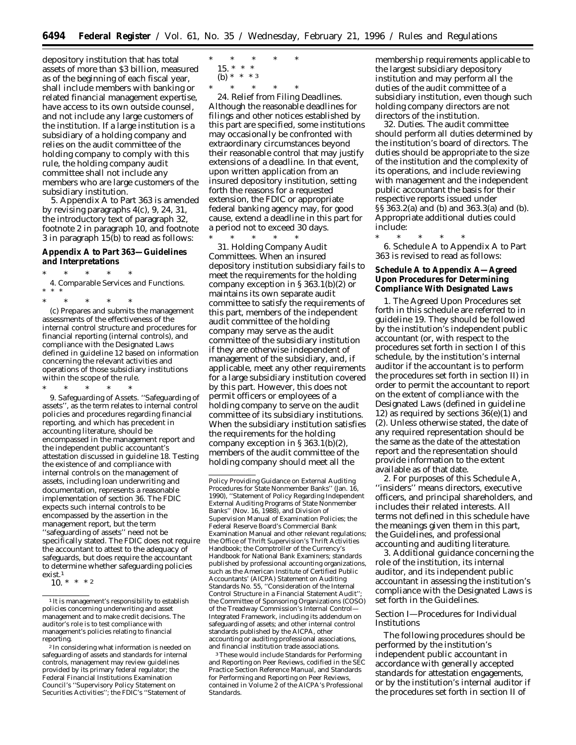depository institution that has total assets of more than \$3 billion, measured as of the beginning of each fiscal year, shall include members with banking or related financial management expertise, have access to its own outside counsel, and not include any large customers of the institution. If a large institution is a subsidiary of a holding company and relies on the audit committee of the holding company to comply with this rule, the holding company audit committee shall not include any members who are large customers of the subsidiary institution.

5. Appendix A to Part 363 is amended by revising paragraphs 4(c), 9, 24, 31, the introductory text of paragraph 32, footnote 2 in paragraph 10, and footnote 3 in paragraph 15(b) to read as follows:

**Appendix A to Part 363—Guidelines and Interpretations**

\* \* \* \* \* 4. *Comparable Services and Functions*. \* \* \*

\* \* \* \* \*

(c) Prepares and submits the management assessments of the effectiveness of the internal control structure and procedures for financial reporting (internal controls), and compliance with the Designated Laws defined in guideline 12 based on information concerning the relevant activities and operations of those subsidiary institutions within the scope of the rule.

\* \* \* \* \* 9. *Safeguarding of Assets*. ''Safeguarding of assets'', as the term relates to internal control policies and procedures regarding financial reporting, and which has precedent in accounting literature, should be encompassed in the management report and the independent public accountant's attestation discussed in guideline 18. Testing the existence of and compliance with internal controls on the management of assets, including loan underwriting and documentation, represents a reasonable implementation of section 36. The FDIC expects such internal controls to be encompassed by the assertion in the management report, but the term ''safeguarding of assets'' need not be specifically stated. The FDIC does not require the accountant to attest to the adequacy of safeguards, but does require the accountant to determine whether safeguarding policies exist.1

\* \* \* \* \*  $15.*$  \* \* (b) \* \* \* 3<br>\* \* \* \*

\* \* \* \* \*

24. *Relief from Filing Deadlines.* Although the reasonable deadlines for filings and other notices established by this part are specified, some institutions may occasionally be confronted with extraordinary circumstances beyond their reasonable control that may justify extensions of a deadline. In that event, upon written application from an insured depository institution, setting forth the reasons for a requested extension, the FDIC or appropriate federal banking agency may, for good cause, extend a deadline in this part for a period not to exceed 30 days.

\* \* \* \* \* 31. *Holding Company Audit Committees.* When an insured depository institution subsidiary fails to meet the requirements for the holding company exception in § 363.1(b)(2) or maintains its own separate audit committee to satisfy the requirements of this part, members of the independent audit committee of the holding company may serve as the audit committee of the subsidiary institution if they are otherwise independent of management of the subsidiary, and, if applicable, meet any other requirements for a large subsidiary institution covered by this part. However, this does not permit officers or employees of a holding company to serve on the audit committee of its subsidiary institutions. When the subsidiary institution satisfies the requirements for the holding company exception in § 363.1(b)(2), members of the audit committee of the holding company should meet all the

3These would include Standards for Performing and Reporting on Peer Reviews, codified in the *SEC Practice Section Reference Manual*, and Standards for Performing and Reporting on Peer Reviews, contained in Volume 2 of the AICPA's *Professional Standards*.

membership requirements applicable to the largest subsidiary depository institution and may perform all the duties of the audit committee of a subsidiary institution, even though such holding company directors are not directors of the institution.

32. *Duties.* The audit committee should perform all duties determined by the institution's board of directors. The duties should be appropriate to the size of the institution and the complexity of its operations, and include reviewing with management and the independent public accountant the basis for their respective reports issued under §§ 363.2(a) and (b) and 363.3(a) and (b). Appropriate additional duties could include:

\* \* \* \* \* 6. Schedule A to Appendix A to Part 363 is revised to read as follows:

**Schedule A to Appendix A—Agreed Upon Procedures for Determining Compliance With Designated Laws**

1. The Agreed Upon Procedures set forth in this schedule are referred to in guideline 19. They should be followed by the institution's independent public accountant (or, with respect to the procedures set forth in section I of this schedule, by the institution's internal auditor if the accountant is to perform the procedures set forth in section II) in order to permit the accountant to report on the extent of compliance with the Designated Laws (defined in guideline 12) as required by sections  $36(e)(1)$  and (2). Unless otherwise stated, the date of any required representation should be the same as the date of the attestation report and the representation should provide information to the extent available as of that date.

2. For purposes of this Schedule A, ''insiders'' means directors, executive officers, and principal shareholders, and includes their related interests. All terms not defined in this schedule have the meanings given them in this part, the Guidelines, and professional accounting and auditing literature.

3. Additional guidance concerning the role of the institution, its internal auditor, and its independent public accountant in assessing the institution's compliance with the Designated Laws is set forth in the Guidelines.

# *Section I—Procedures for Individual Institutions*

The following procedures should be performed by the institution's independent public accountant in accordance with generally accepted standards for attestation engagements, or by the institution's internal auditor if the procedures set forth in section II of

<sup>10. \* \* \*</sup> 2

<sup>&</sup>lt;sup>1</sup> It is management's responsibility to establish policies concerning underwriting and asset management and to make credit decisions. The auditor's role is to test compliance with management's policies relating to financial reporting.

<sup>2</sup> In considering what information is needed on safeguarding of assets and standards for internal controls, management may review guidelines provided by its primary federal regulator; the Federal Financial Institutions Examination Council's ''Supervisory Policy Statement on Securities Activities''; the FDIC's ''Statement of

Policy Providing Guidance on External Auditing Procedures for State Nonmember Banks'' (Jan. 16, 1990), ''Statement of Policy Regarding Independent External Auditing Programs of State Nonmember Banks'' (Nov. 16, 1988), and Division of Supervision Manual of Examination Policies; the Federal Reserve Board's Commercial Bank Examination Manual and other relevant regulations; the Office of Thrift Supervision's Thrift Activities Handbook; the Comptroller of the Currency's Handbook for National Bank Examiners; standards published by professional accounting organizations, such as the American Institute of Certified Public Accountants' (AICPA) Statement on Auditing Standards No. 55, ''Consideration of the Internal Control Structure in a Financial Statement Audit''; the Committee of Sponsoring Organizations (COSO) of the Treadway Commission's *Internal Control— Integrated Framework*, including its addendum on safeguarding of assets; and other internal control standards published by the AICPA, other accounting or auditing professional associations, and financial institution trade associations.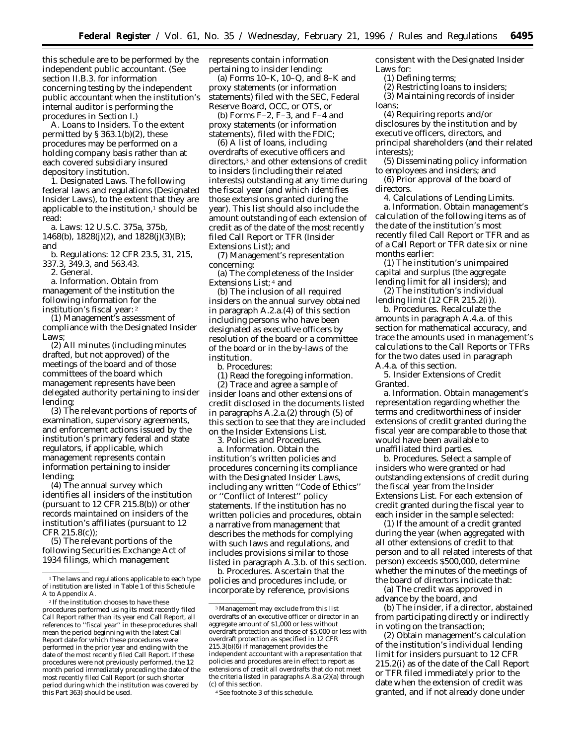this schedule are to be performed by the independent public accountant. (See section II.B.3. for information concerning testing by the independent public accountant when the institution's internal auditor is performing the procedures in Section I.)

A. *Loans to Insiders.* To the extent permitted by  $\S 363.1(b)(2)$ , these procedures may be performed on a holding company basis rather than at each covered subsidiary insured depository institution.

1. *Designated Laws.* The following federal laws and regulations (Designated Insider Laws), to the extent that they are applicable to the institution, $<sup>1</sup>$  should be</sup> read:

a. Laws: 12 U.S.C. 375a, 375b, 1468(b), 1828(j)(2), and 1828(j)(3)(B); and

b. Regulations: 12 CFR 23.5, 31, 215, 337.3, 349.3, and 563.43.

2. *General.*

a. *Information.* Obtain from management of the institution the following information for the institution's fiscal year: 2

(1) Management's assessment of compliance with the Designated Insider Laws;

(2) All minutes (including minutes drafted, but not approved) of the meetings of the board and of those committees of the board which management represents have been delegated authority pertaining to insider lending;

(3) The relevant portions of reports of examination, supervisory agreements, and enforcement actions issued by the institution's primary federal and state regulators, if applicable, which management represents contain information pertaining to insider lending;

(4) The annual survey which identifies all insiders of the institution (pursuant to 12 CFR 215.8(b)) or other records maintained on insiders of the institution's affiliates (pursuant to 12 CFR 215.8(c));

(5) The relevant portions of the following Securities Exchange Act of 1934 filings, which management

represents contain information pertaining to insider lending:

(a) Forms 10–K, 10–Q, and 8–K and proxy statements (or information statements) filed with the SEC, Federal Reserve Board, OCC, or OTS, or

(b) Forms F–2, F–3, and F–4 and proxy statements (or information statements), filed with the FDIC;

(6) A list of loans, including overdrafts of executive officers and directors,3 and other extensions of credit to insiders (including their related interests) outstanding at any time during the fiscal year (and which identifies those extensions granted during the year). This list should also include the amount outstanding of each extension of credit as of the date of the most recently filed Call Report or TFR (Insider Extensions List); and

(7) Management's representation concerning:

(a) The completeness of the Insider Extensions List; 4 and

(b) The inclusion of all required insiders on the annual survey obtained in paragraph A.2.a.(4) of this section including persons who have been designated as executive officers by resolution of the board or a committee of the board or in the by-laws of the institution.

b. *Procedures:*

(1) Read the foregoing information. (2) Trace and agree a sample of insider loans and other extensions of credit disclosed in the documents listed in paragraphs A.2.a.(2) through (5) of this section to see that they are included

on the Insider Extensions List. 3. *Policies and Procedures.*

a. *Information.* Obtain the institution's written policies and procedures concerning its compliance with the Designated Insider Laws, including any written ''Code of Ethics'' or ''Conflict of Interest'' policy statements. If the institution has no written policies and procedures, obtain a narrative from management that describes the methods for complying with such laws and regulations, and includes provisions similar to those listed in paragraph A.3.b. of this section.

b. *Procedures.* Ascertain that the policies and procedures include, or incorporate by reference, provisions consistent with the Designated Insider Laws for:

(1) Defining terms;

(2) Restricting loans to insiders;

(3) Maintaining records of insider loans;

(4) Requiring reports and/or disclosures by the institution and by executive officers, directors, and principal shareholders (and their related interests);

(5) Disseminating policy information to employees and insiders; and

(6) Prior approval of the board of directors.

4. *Calculations of Lending Limits.* a. *Information*. Obtain management's calculation of the following items as of the date of the institution's most recently filed Call Report or TFR and as of a Call Report or TFR date six or nine months earlier:

(1) The institution's unimpaired capital and surplus (the aggregate lending limit for all insiders); and

(2) The institution's individual lending limit (12 CFR 215.2(i)).

b. *Procedures*. Recalculate the amounts in paragraph A.4.a. of this section for mathematical accuracy, and trace the amounts used in management's calculations to the Call Reports or TFRs for the two dates used in paragraph A.4.a. of this section.

5. *Insider Extensions of Credit Granted*.

a. *Information*. Obtain management's representation regarding whether the terms and creditworthiness of insider extensions of credit granted during the fiscal year are comparable to those that would have been available to unaffiliated third parties.

b. *Procedures*. Select a sample of insiders who were granted or had outstanding extensions of credit during the fiscal year from the Insider Extensions List. For each extension of credit granted during the fiscal year to each insider in the sample selected:

(1) If the amount of a credit granted during the year (when aggregated with all other extensions of credit to that person and to all related interests of that person) exceeds \$500,000, determine whether the minutes of the meetings of the board of directors indicate that:

(a) The credit was approved in advance by the board, and

(b) The insider, if a director, abstained from participating directly or indirectly in voting on the transaction;

(2) Obtain management's calculation of the institution's individual lending limit for insiders pursuant to 12 CFR 215.2(i) as of the date of the Call Report or TFR filed immediately prior to the date when the extension of credit was granted, and if not already done under

<sup>&</sup>lt;sup>1</sup>The laws and regulations applicable to each type of institution are listed in Table 1 of this Schedule A to Appendix A.

<sup>2</sup> If the institution chooses to have these procedures performed using its most recently filed Call Report rather than its year end Call Report, all references to ''fiscal year'' in these procedures shall mean the period beginning with the latest Call Report date for which these procedures were performed in the prior year and ending with the date of the most recently filed Call Report. If these procedures were not previously performed, the 12 month period immediately preceding the date of the most recently filed Call Report (or such shorter period during which the institution was covered by this Part 363) should be used.

<sup>3</sup>Management may exclude from this list overdrafts of an executive officer or director in an aggregate amount of \$1,000 or less without overdraft protection and those of \$5,000 or less with overdraft protection as specified in 12 CFR 215.3(b)(6) if management provides the independent accountant with a representation that policies and procedures are in effect to report as extensions of credit all overdrafts that do not meet the criteria listed in paragraphs A.8.a.(2)(a) through (c) of this section.

<sup>4</sup>See footnote 3 of this schedule.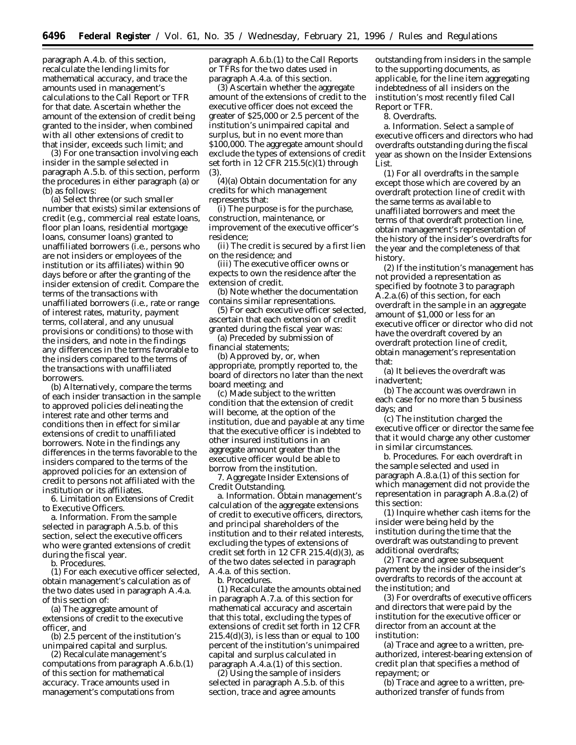paragraph A.4.b. of this section, recalculate the lending limits for mathematical accuracy, and trace the amounts used in management's calculations to the Call Report or TFR for that date. Ascertain whether the amount of the extension of credit being granted to the insider, when combined with all other extensions of credit to that insider, exceeds such limit; and

(3) For one transaction involving each insider in the sample selected in paragraph A.5.b. of this section, perform the procedures in either paragraph (a) or (b) as follows:

(a) Select three (or such smaller number that exists) similar extensions of credit (e.g., commercial real estate loans, floor plan loans, residential mortgage loans, consumer loans) granted to unaffiliated borrowers (i.e., persons who are not insiders or employees of the institution or its affiliates) within 90 days before or after the granting of the insider extension of credit. Compare the terms of the transactions with unaffiliated borrowers (i.e., rate or range of interest rates, maturity, payment terms, collateral, and any unusual provisions or conditions) to those with the insiders, and note in the findings any differences in the terms favorable to the insiders compared to the terms of the transactions with unaffiliated borrowers.

(b) Alternatively, compare the terms of each insider transaction in the sample to approved policies delineating the interest rate and other terms and conditions then in effect for similar extensions of credit to unaffiliated borrowers. Note in the findings any differences in the terms favorable to the insiders compared to the terms of the approved policies for an extension of credit to persons not affiliated with the institution or its affiliates.

6. *Limitation on Extensions of Credit to Executive Officers*.

a. *Information*. From the sample selected in paragraph A.5.b. of this section, select the executive officers who were granted extensions of credit during the fiscal year.

b. *Procedures*.

(1) For each executive officer selected, obtain management's calculation as of the two dates used in paragraph A.4.a. of this section of:

(a) The aggregate amount of extensions of credit to the executive officer, and

(b) 2.5 percent of the institution's unimpaired capital and surplus.

(2) Recalculate management's computations from paragraph A.6.b.(1) of this section for mathematical accuracy. Trace amounts used in management's computations from

paragraph A.6.b.(1) to the Call Reports or TFRs for the two dates used in paragraph A.4.a. of this section.

(3) Ascertain whether the aggregate amount of the extensions of credit to the executive officer does not exceed the greater of \$25,000 or 2.5 percent of the institution's unimpaired capital and surplus, but in no event more than \$100,000. The aggregate amount should exclude the types of extensions of credit set forth in 12 CFR 215.5(c)(1) through (3).

(4)(a) Obtain documentation for any credits for which management represents that:

(i) The purpose is for the purchase, construction, maintenance, or improvement of the executive officer's residence;

(ii) The credit is secured by a first lien on the residence; and

(iii) The executive officer owns or expects to own the residence after the extension of credit.

(b) Note whether the documentation contains similar representations.

(5) For each executive officer selected, ascertain that each extension of credit granted during the fiscal year was:

(a) Preceded by submission of financial statements;

(b) Approved by, or, when appropriate, promptly reported to, the board of directors no later than the next board meeting; and

(c) Made subject to the written condition that the extension of credit will become, at the option of the institution, due and payable at any time that the executive officer is indebted to other insured institutions in an aggregate amount greater than the executive officer would be able to borrow from the institution.

7. *Aggregate Insider Extensions of Credit Outstanding.*

a. *Information*. Obtain management's calculation of the aggregate extensions of credit to executive officers, directors, and principal shareholders of the institution and to their related interests, excluding the types of extensions of credit set forth in 12 CFR  $215.4(d)(3)$ , as of the two dates selected in paragraph A.4.a. of this section.

b. *Procedures*.

(1) Recalculate the amounts obtained in paragraph A.7.a. of this section for mathematical accuracy and ascertain that this total, excluding the types of extensions of credit set forth in 12 CFR  $215.4(d)(3)$ , is less than or equal to 100 percent of the institution's unimpaired capital and surplus calculated in paragraph A.4.a.(1) of this section.

(2) Using the sample of insiders selected in paragraph A.5.b. of this section, trace and agree amounts

outstanding from insiders in the sample to the supporting documents, as applicable, for the line item aggregating indebtedness of all insiders on the institution's most recently filed Call Report or TFR.

8. *Overdrafts*.

a. *Information*. Select a sample of executive officers and directors who had overdrafts outstanding during the fiscal year as shown on the Insider Extensions List.

(1) For all overdrafts in the sample except those which are covered by an overdraft protection line of credit with the same terms as available to unaffiliated borrowers and meet the terms of that overdraft protection line, obtain management's representation of the history of the insider's overdrafts for the year and the completeness of that history.

(2) If the institution's management has *not* provided a representation as specified by footnote 3 to paragraph A.2.a.(6) of this section, for each overdraft in the sample in an aggregate amount of \$1,000 or less for an executive officer or director who did not have the overdraft covered by an overdraft protection line of credit, obtain management's representation that:

(a) It believes the overdraft was inadvertent;

(b) The account was overdrawn in each case for no more than 5 business days; and

(c) The institution charged the executive officer or director the same fee that it would charge any other customer in similar circumstances.

b. *Procedures*. For each overdraft in the sample selected and used in paragraph A.8.a.(1) of this section for which management did not provide the representation in paragraph A.8.a.(2) of this section:

(1) Inquire whether cash items for the insider were being held by the institution during the time that the overdraft was outstanding to prevent additional overdrafts;

(2) Trace and agree subsequent payment by the insider of the insider's overdrafts to records of the account at the institution; and

(3) For overdrafts of executive officers and directors that were paid by the institution for the executive officer or director from an account at the institution:

(a) Trace and agree to a written, preauthorized, interest-bearing extension of credit plan that specifies a method of repayment; or

(b) Trace and agree to a written, preauthorized transfer of funds from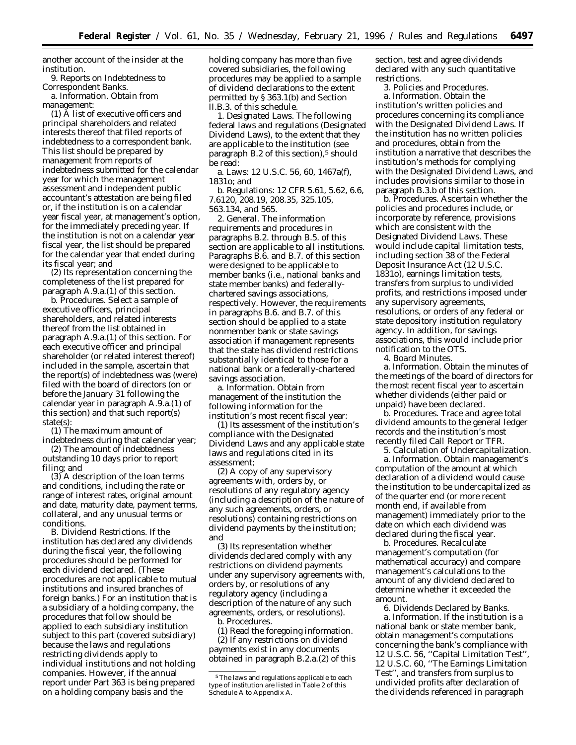another account of the insider at the institution.

9. *Reports on Indebtedness to Correspondent Banks*. a. *Information*. Obtain from

management:

(1) A list of executive officers and principal shareholders and related interests thereof that filed reports of indebtedness to a correspondent bank. This list should be prepared by management from reports of indebtedness submitted for the calendar year for which the management assessment and independent public accountant's attestation are being filed or, if the institution is on a calendar year fiscal year, at management's option, for the immediately preceding year. If the institution is not on a calendar year fiscal year, the list should be prepared for the calendar year that ended during its fiscal year; and

(2) Its representation concerning the completeness of the list prepared for paragraph A.9.a.(1) of this section.

b. *Procedures*. Select a sample of executive officers, principal shareholders, and related interests thereof from the list obtained in paragraph A.9.a.(1) of this section. For each executive officer and principal shareholder (or related interest thereof) included in the sample, ascertain that the report(s) of indebtedness was (were) filed with the board of directors (on or before the January 31 following the calendar year in paragraph A.9.a.(1) of this section) and that such report(s) state(s):

(1) The maximum amount of indebtedness during that calendar year;

(2) The amount of indebtedness outstanding 10 days prior to report filing; and

(3) A description of the loan terms and conditions, including the rate or range of interest rates, original amount and date, maturity date, payment terms, collateral, and any unusual terms or conditions.

B. *Dividend Restrictions*. If the institution has declared any dividends during the fiscal year, the following procedures should be performed for each dividend declared. (These procedures are not applicable to mutual institutions and insured branches of foreign banks.) For an institution that is a subsidiary of a holding company, the procedures that follow should be applied to each subsidiary institution subject to this part (covered subsidiary) because the laws and regulations restricting dividends apply to individual institutions and not holding companies. However, if the annual report under Part 363 is being prepared on a holding company basis and the

holding company has more than five covered subsidiaries, the following procedures may be applied to a sample of dividend declarations to the extent permitted by § 363.1(b) and Section II.B.3. of this schedule.

1. *Designated Laws*. The following federal laws and regulations (Designated Dividend Laws), to the extent that they are applicable to the institution (see paragraph B.2 of this section),<sup>5</sup> should be read:

a. Laws: 12 U.S.C. 56, 60, 1467a(f), 1831o; and

b. Regulations: 12 CFR 5.61, 5.62, 6.6, 7.6120, 208.19, 208.35, 325.105, 563.134, and 565.

2. *General*. The information requirements and procedures in paragraphs B.2. through B.5. of this section are applicable to all institutions. Paragraphs B.6. and B.7. of this section were designed to be applicable to member banks (i.e., national banks and state member banks) and federallychartered savings associations, respectively. However, the requirements in paragraphs B.6. and B.7. of this section should be applied to a state nonmember bank or state savings association if management represents that the state has dividend restrictions substantially identical to those for a national bank or a federally-chartered savings association.

a. *Information.* Obtain from management of the institution the following information for the institution's most recent fiscal year:

(1) Its assessment of the institution's compliance with the Designated Dividend Laws and any applicable state laws and regulations cited in its assessment;

(2) A copy of any supervisory agreements with, orders by, or resolutions of any regulatory agency (including a description of the nature of any such agreements, orders, or resolutions) containing restrictions on dividend payments by the institution; and

(3) Its representation whether dividends declared comply with any restrictions on dividend payments under any supervisory agreements with, orders by, or resolutions of any regulatory agency (including a description of the nature of any such agreements, orders, or resolutions). b. *Procedures.*

(1) Read the foregoing information.

(2) If any restrictions on dividend payments exist in any documents obtained in paragraph B.2.a.(2) of this section, test and agree dividends declared with any such quantitative restrictions.

3. *Policies and Procedures.* a. *Information.* Obtain the institution's written policies and procedures concerning its compliance with the Designated Dividend Laws. If the institution has no written policies and procedures, obtain from the institution a narrative that describes the institution's methods for complying with the Designated Dividend Laws, and includes provisions similar to those in paragraph B.3.b of this section.

b. *Procedures.* Ascertain whether the policies and procedures include, or incorporate by reference, provisions which are consistent with the Designated Dividend Laws. These would include capital limitation tests, including section 38 of the Federal Deposit Insurance Act (12 U.S.C. 1831o), earnings limitation tests, transfers from surplus to undivided profits, and restrictions imposed under any supervisory agreements, resolutions, or orders of any federal or state depository institution regulatory agency. In addition, for savings associations, this would include prior notification to the OTS.

4. *Board Minutes.*

a. *Information.* Obtain the minutes of the meetings of the board of directors for the most recent fiscal year to ascertain whether dividends (either paid or unpaid) have been declared.

b. *Procedures.* Trace and agree total dividend amounts to the general ledger records and the institution's most recently filed Call Report or TFR.

5. *Calculation of Undercapitalization.*

a. *Information.* Obtain management's computation of the amount at which declaration of a dividend would cause the institution to be undercapitalized as of the quarter end (or more recent month end, if available from management) immediately prior to the date on which each dividend was declared during the fiscal year.

b. *Procedures.* Recalculate management's computation (for mathematical accuracy) and compare management's calculations to the amount of any dividend declared to determine whether it exceeded the amount.

6. *Dividends Declared by Banks.* a. *Information.* If the institution is a national bank or state member bank, obtain management's computations concerning the bank's compliance with 12 U.S.C. 56, ''Capital Limitation Test'', 12 U.S.C. 60, ''The Earnings Limitation Test'', and transfers from surplus to undivided profits after declaration of the dividends referenced in paragraph

<sup>5</sup>The laws and regulations applicable to each type of institution are listed in Table 2 of this Schedule A to Appendix A.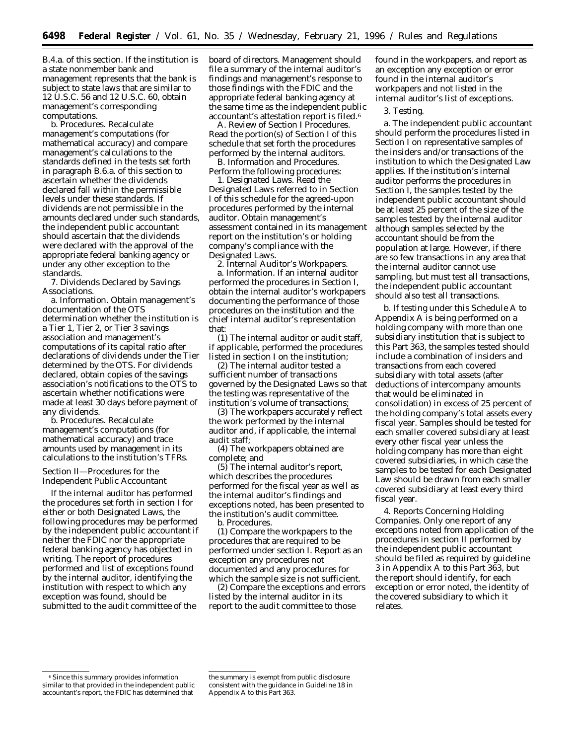B.4.a. of this section. If the institution is a state nonmember bank and management represents that the bank is subject to state laws that are similar to 12 U.S.C. 56 and 12 U.S.C. 60, obtain management's corresponding computations.

b. *Procedures.* Recalculate management's computations (for mathematical accuracy) and compare management's calculations to the standards defined in the tests set forth in paragraph B.6.a. of this section to ascertain whether the dividends declared fall within the permissible levels under these standards. If dividends are not permissible in the amounts declared under such standards, the independent public accountant should ascertain that the dividends were declared with the approval of the appropriate federal banking agency or under any other exception to the standards.

7. *Dividends Declared by Savings Associations.*

a. *Information.* Obtain management's documentation of the OTS determination whether the institution is a Tier 1, Tier 2, or Tier 3 savings association and management's computations of its capital ratio after declarations of dividends under the Tier determined by the OTS. For dividends declared, obtain copies of the savings association's notifications to the OTS to ascertain whether notifications were made at least 30 days before payment of any dividends.

b. *Procedures.* Recalculate management's computations (for mathematical accuracy) and trace amounts used by management in its calculations to the institution's TFRs.

#### *Section II—Procedures for the Independent Public Accountant*

If the internal auditor has performed the procedures set forth in section I for either or both Designated Laws, the following procedures may be performed by the independent public accountant if neither the FDIC nor the appropriate federal banking agency has objected in writing. The report of procedures performed and list of exceptions found by the internal auditor, identifying the institution with respect to which any exception was found, should be submitted to the audit committee of the

board of directors. Management should file a summary of the internal auditor's findings and management's response to those findings with the FDIC and the appropriate federal banking agency at the same time as the independent public accountant's attestation report is filed.6

A. *Review of Section I Procedures.* Read the portion(s) of Section I of this schedule that set forth the procedures performed by the internal auditors.

B. *Information and Procedures.* Perform the following procedures:

1. *Designated Laws.* Read the Designated Laws referred to in Section I of this schedule for the agreed-upon procedures performed by the internal auditor. Obtain management's assessment contained in its management report on the institution's or holding company's compliance with the Designated Laws.

2. *Internal Auditor's Workpapers.* a. *Information.* If an internal auditor performed the procedures in Section I, obtain the internal auditor's workpapers documenting the performance of those procedures on the institution and the chief internal auditor's representation that:

(1) The internal auditor or audit staff, if applicable, performed the procedures listed in section I on the institution;

(2) The internal auditor tested a sufficient number of transactions governed by the Designated Laws so that the testing was representative of the institution's volume of transactions;

(3) The workpapers accurately reflect the work performed by the internal auditor and, if applicable, the internal audit staff;

(4) The workpapers obtained are complete; and

(5) The internal auditor's report, which describes the procedures performed for the fiscal year as well as the internal auditor's findings and exceptions noted, has been presented to the institution's audit committee. b. *Procedures.*

(1) Compare the workpapers to the procedures that are required to be performed under section I. Report as an exception any procedures not documented and any procedures for which the sample size is not sufficient.

(2) Compare the exceptions and errors listed by the internal auditor in its report to the audit committee to those

found in the workpapers, and report as an exception any exception or error found in the internal auditor's workpapers and not listed in the internal auditor's list of exceptions.

#### 3. *Testing.*

a. The independent public accountant should perform the procedures listed in Section I on representative samples of the insiders and/or transactions of the institution to which the Designated Law applies. If the institution's internal auditor performs the procedures in Section I, the samples tested by the independent public accountant should be at least 25 percent of the size of the samples tested by the internal auditor although samples selected by the accountant should be from the population at large. However, if there are so few transactions in any area that the internal auditor cannot use sampling, but must test all transactions, the independent public accountant should also test all transactions.

b. If testing under this Schedule A to Appendix A is being performed on a holding company with more than one subsidiary institution that is subject to this Part 363, the samples tested should include a combination of insiders and transactions from each covered subsidiary with total assets (after deductions of intercompany amounts that would be eliminated in consolidation) in excess of 25 percent of the holding company's total assets every fiscal year. Samples should be tested for each smaller covered subsidiary at least every other fiscal year unless the holding company has more than eight covered subsidiaries, in which case the samples to be tested for each Designated Law should be drawn from each smaller covered subsidiary at least every third fiscal year.

4. *Reports Concerning Holding Companies.* Only one report of any exceptions noted from application of the procedures in section II performed by the independent public accountant should be filed as required by guideline 3 in Appendix A to this Part 363, but the report should identify, for each exception or error noted, the identity of the covered subsidiary to which it relates.

<sup>6</sup>Since this summary provides information similar to that provided in the independent public accountant's report, the FDIC has determined that

the summary is exempt from public disclosure consistent with the guidance in Guideline 18 in Appendix A to this Part 363.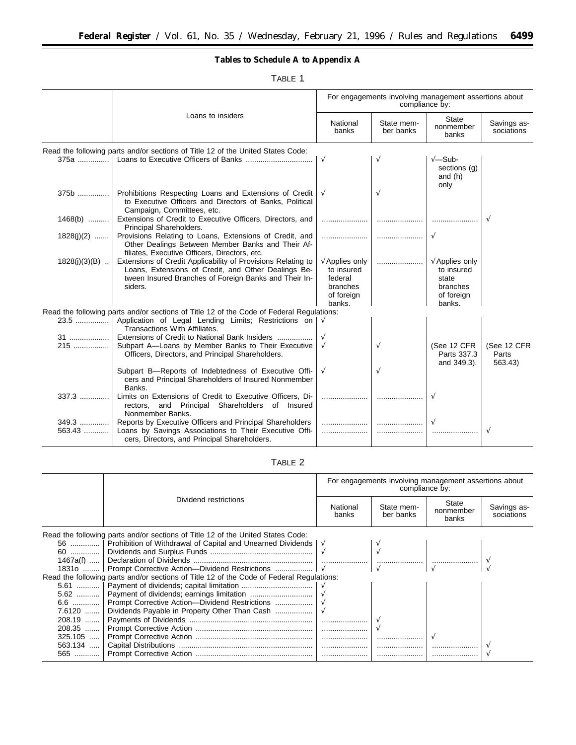▀

**Tables to Schedule A to Appendix A**

TABLE 1

|                   |                                                                                                                                                                                         | For engagements involving management assertions about<br>compliance by:                     |                         |                                                                                           |                                 |
|-------------------|-----------------------------------------------------------------------------------------------------------------------------------------------------------------------------------------|---------------------------------------------------------------------------------------------|-------------------------|-------------------------------------------------------------------------------------------|---------------------------------|
|                   | Loans to insiders                                                                                                                                                                       | National<br>banks                                                                           | State mem-<br>ber banks | <b>State</b><br>nonmember<br>banks                                                        | Savings as-<br>sociations       |
|                   | Read the following parts and/or sections of Title 12 of the United States Code:                                                                                                         |                                                                                             |                         |                                                                                           |                                 |
|                   |                                                                                                                                                                                         | $\sqrt{ }$                                                                                  | V                       | $\sqrt{-S}$ ub-<br>sections (g)<br>and $(h)$<br>only                                      |                                 |
|                   | 375b  Prohibitions Respecting Loans and Extensions of Credit<br>to Executive Officers and Directors of Banks, Political<br>Campaign, Committees, etc.                                   | $\sqrt{ }$                                                                                  | $\sqrt{ }$              |                                                                                           |                                 |
| $1468(b)$         | Extensions of Credit to Executive Officers, Directors, and<br>Principal Shareholders.                                                                                                   |                                                                                             |                         |                                                                                           |                                 |
| $1828(j)(2)$      | Provisions Relating to Loans, Extensions of Credit, and<br>Other Dealings Between Member Banks and Their Af-<br>filiates, Executive Officers, Directors, etc.                           |                                                                                             |                         | $\sqrt{ }$                                                                                |                                 |
| $1828(j)(3)(B)$   | Extensions of Credit Applicability of Provisions Relating to<br>Loans, Extensions of Credit, and Other Dealings Be-<br>tween Insured Branches of Foreign Banks and Their In-<br>siders. | $\sqrt{\mathsf{Applies}}$ only<br>to insured<br>federal<br>branches<br>of foreign<br>banks. |                         | $\sqrt{\mathsf{Applies}}$ only<br>to insured<br>state<br>branches<br>of foreign<br>banks. |                                 |
|                   | Read the following parts and/or sections of Title 12 of the Code of Federal Regulations:                                                                                                |                                                                                             |                         |                                                                                           |                                 |
|                   | 23.5  Application of Legal Lending Limits; Restrictions on $\sqrt{ }$<br>Transactions With Affiliates.                                                                                  |                                                                                             |                         |                                                                                           |                                 |
| <b>31</b><br>215  | Extensions of Credit to National Bank Insiders<br>Subpart A-Loans by Member Banks to Their Executive<br>Officers, Directors, and Principal Shareholders.                                | $\sqrt{ }$                                                                                  | $\sqrt{ }$              | (See 12 CFR<br>Parts 337.3<br>and 349.3).                                                 | (See 12 CFR<br>Parts<br>563.43) |
|                   | Subpart B-Reports of Indebtedness of Executive Offi-<br>cers and Principal Shareholders of Insured Nonmember<br>Banks.                                                                  | $\sqrt{ }$                                                                                  | $\sqrt{ }$              |                                                                                           |                                 |
| 337.3             | Limits on Extensions of Credit to Executive Officers, Di-<br>rectors, and Principal Shareholders of Insured<br>Nonmember Banks.                                                         |                                                                                             |                         | $\sqrt{ }$                                                                                |                                 |
| $349.3$<br>563.43 | Reports by Executive Officers and Principal Shareholders<br>Loans by Savings Associations to Their Executive Offi-<br>cers, Directors, and Principal Shareholders.                      |                                                                                             |                         | $\sqrt{}$                                                                                 | V                               |

# TABLE 2

|                                                                                          |                                                                              | For engagements involving management assertions about<br>compliance by: |                         |                             |                           |
|------------------------------------------------------------------------------------------|------------------------------------------------------------------------------|-------------------------------------------------------------------------|-------------------------|-----------------------------|---------------------------|
|                                                                                          | Dividend restrictions                                                        | National<br>banks                                                       | State mem-<br>ber banks | State<br>nonmember<br>banks | Savings as-<br>sociations |
| Read the following parts and/or sections of Title 12 of the United States Code:          |                                                                              |                                                                         |                         |                             |                           |
|                                                                                          | 56  Prohibition of Withdrawal of Capital and Unearned Dividends   $\sqrt{ }$ |                                                                         |                         |                             |                           |
|                                                                                          |                                                                              |                                                                         |                         |                             |                           |
|                                                                                          |                                                                              |                                                                         |                         |                             |                           |
|                                                                                          | 18310  Prompt Corrective Action—Dividend Restrictions    V                   |                                                                         |                         |                             |                           |
| Read the following parts and/or sections of Title 12 of the Code of Federal Regulations: |                                                                              |                                                                         |                         |                             |                           |
|                                                                                          |                                                                              |                                                                         |                         |                             |                           |
|                                                                                          |                                                                              |                                                                         |                         |                             |                           |
|                                                                                          | 6.6  Prompt Corrective Action—Dividend Restrictions                          |                                                                         |                         |                             |                           |
|                                                                                          | 7.6120    Dividends Payable in Property Other Than Cash                      |                                                                         |                         |                             |                           |
|                                                                                          |                                                                              |                                                                         |                         |                             |                           |
|                                                                                          |                                                                              |                                                                         |                         |                             |                           |
|                                                                                          |                                                                              |                                                                         |                         |                             |                           |
|                                                                                          |                                                                              |                                                                         |                         |                             |                           |
| 565                                                                                      |                                                                              |                                                                         |                         |                             |                           |